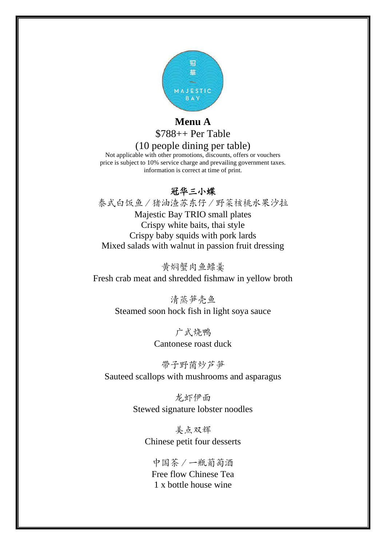

#### **Menu A** \$788++ Per Table

### (10 people dining per table)

Not applicable with other promotions, discounts, offers or vouchers price is subject to 10% service charge and prevailing government taxes. information is correct at time of print.

# 冠华三小蝶

泰式白饭鱼/猪油渣苏东仔/野菜核桃水果沙拉

Majestic Bay TRIO small plates Crispy white baits, thai style Crispy baby squids with pork lards Mixed salads with walnut in passion fruit dressing

黄焖蟹肉鱼鳔羹 Fresh crab meat and shredded fishmaw in yellow broth

> 清蒸笋壳鱼 Steamed soon hock fish in light soya sauce

> > 广式烧鸭 Cantonese roast duck

带子野菌炒芦笋 Sauteed scallops with mushrooms and asparagus

> 龙虾伊面 Stewed signature lobster noodles

美点双辉 Chinese petit four desserts

中国茶/一瓶葡萄酒 Free flow Chinese Tea 1 x bottle house wine